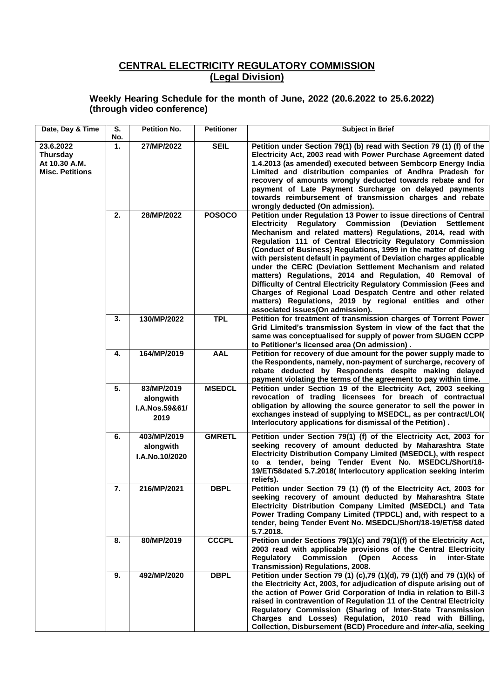## **CENTRAL ELECTRICITY REGULATORY COMMISSION (Legal Division)**

## **Weekly Hearing Schedule for the month of June, 2022 (20.6.2022 to 25.6.2022) (through video conference)**

| Date, Day & Time                                                        | S.<br>No. | <b>Petition No.</b>                               | <b>Petitioner</b> | <b>Subject in Brief</b>                                                                                                                                                                                                                                                                                                                                                                                                                                                                                                                                                                                                                                                                                                                                                                |
|-------------------------------------------------------------------------|-----------|---------------------------------------------------|-------------------|----------------------------------------------------------------------------------------------------------------------------------------------------------------------------------------------------------------------------------------------------------------------------------------------------------------------------------------------------------------------------------------------------------------------------------------------------------------------------------------------------------------------------------------------------------------------------------------------------------------------------------------------------------------------------------------------------------------------------------------------------------------------------------------|
| 23.6.2022<br><b>Thursday</b><br>At 10.30 A.M.<br><b>Misc. Petitions</b> | 1.        | 27/MP/2022                                        | <b>SEIL</b>       | Petition under Section 79(1) (b) read with Section 79 (1) (f) of the<br>Electricity Act, 2003 read with Power Purchase Agreement dated<br>1.4.2013 (as amended) executed between Sembcorp Energy India<br>Limited and distribution companies of Andhra Pradesh for<br>recovery of amounts wrongly deducted towards rebate and for<br>payment of Late Payment Surcharge on delayed payments<br>towards reimbursement of transmission charges and rebate<br>wrongly deducted (On admission).                                                                                                                                                                                                                                                                                             |
|                                                                         | 2.        | 28/MP/2022                                        | <b>POSOCO</b>     | Petition under Regulation 13 Power to issue directions of Central<br><b>Regulatory Commission (Deviation</b><br>Electricity<br><b>Settlement</b><br>Mechanism and related matters) Regulations, 2014, read with<br>Regulation 111 of Central Electricity Regulatory Commission<br>(Conduct of Business) Regulations, 1999 in the matter of dealing<br>with persistent default in payment of Deviation charges applicable<br>under the CERC (Deviation Settlement Mechanism and related<br>matters) Regulations, 2014 and Regulation, 40 Removal of<br>Difficulty of Central Electricity Regulatory Commission (Fees and<br>Charges of Regional Load Despatch Centre and other related<br>matters) Regulations, 2019 by regional entities and other<br>associated issues(On admission). |
|                                                                         | 3.        | 130/MP/2022                                       | <b>TPL</b>        | Petition for treatment of transmission charges of Torrent Power<br>Grid Limited's transmission System in view of the fact that the<br>same was conceptualised for supply of power from SUGEN CCPP<br>to Petitioner's licensed area (On admission).                                                                                                                                                                                                                                                                                                                                                                                                                                                                                                                                     |
|                                                                         | 4.        | 164/MP/2019                                       | <b>AAL</b>        | Petition for recovery of due amount for the power supply made to<br>the Respondents, namely, non-payment of surcharge, recovery of<br>rebate deducted by Respondents despite making delayed<br>payment violating the terms of the agreement to pay within time.                                                                                                                                                                                                                                                                                                                                                                                                                                                                                                                        |
|                                                                         | 5.        | 83/MP/2019<br>alongwith<br>I.A.Nos.59&61/<br>2019 | <b>MSEDCL</b>     | Petition under Section 19 of the Electricity Act, 2003 seeking<br>revocation of trading licensees for breach of contractual<br>obligation by allowing the source generator to sell the power in<br>exchanges instead of supplying to MSEDCL, as per contract/LOI(<br>Interlocutory applications for dismissal of the Petition).                                                                                                                                                                                                                                                                                                                                                                                                                                                        |
|                                                                         | 6.        | 403/MP/2019<br>alongwith<br>I.A.No.10/2020        | <b>GMRETL</b>     | Petition under Section 79(1) (f) of the Electricity Act, 2003 for<br>seeking recovery of amount deducted by Maharashtra State<br>Electricity Distribution Company Limited (MSEDCL), with respect<br>to a tender, being Tender Event No. MSEDCL/Short/18-<br>19/ET/58dated 5.7.2018( Interlocutory application seeking interim<br>reliefs).                                                                                                                                                                                                                                                                                                                                                                                                                                             |
|                                                                         | 7.        | 216/MP/2021                                       | <b>DBPL</b>       | Petition under Section 79 (1) (f) of the Electricity Act, 2003 for<br>seeking recovery of amount deducted by Maharashtra State<br>Electricity Distribution Company Limited (MSEDCL) and Tata<br>Power Trading Company Limited (TPDCL) and, with respect to a<br>tender, being Tender Event No. MSEDCL/Short/18-19/ET/58 dated<br>5.7.2018.                                                                                                                                                                                                                                                                                                                                                                                                                                             |
|                                                                         | 8.        | 80/MP/2019                                        | <b>CCCPL</b>      | Petition under Sections 79(1)(c) and 79(1)(f) of the Electricity Act,<br>2003 read with applicable provisions of the Central Electricity<br><b>Requlatory</b><br><b>Commission</b><br><b>Access</b><br>(Open<br>in.<br>inter-State<br>Transmission) Regulations, 2008.                                                                                                                                                                                                                                                                                                                                                                                                                                                                                                                 |
|                                                                         | 9.        | 492/MP/2020                                       | <b>DBPL</b>       | Petition under Section 79 (1) (c), 79 (1)(d), 79 (1)(f) and 79 (1)(k) of<br>the Electricity Act, 2003, for adjudication of dispute arising out of<br>the action of Power Grid Corporation of India in relation to Bill-3<br>raised in contravention of Regulation 11 of the Central Electricity<br>Regulatory Commission (Sharing of Inter-State Transmission<br>Charges and Losses) Regulation, 2010 read with Billing,<br>Collection, Disbursement (BCD) Procedure and inter-alia, seeking                                                                                                                                                                                                                                                                                           |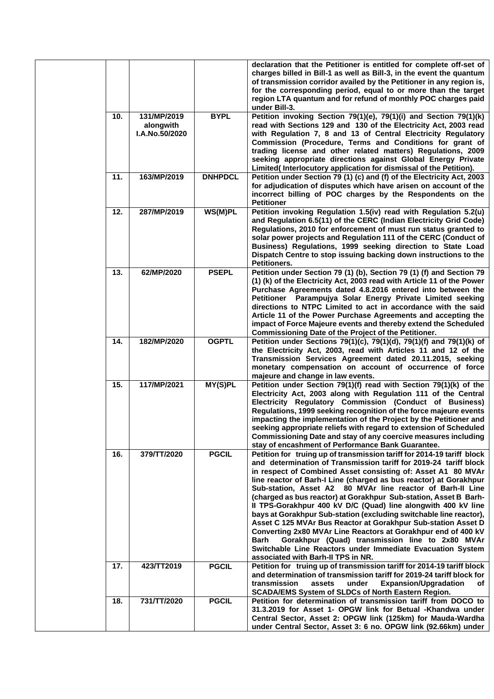|     |                                                   |                | declaration that the Petitioner is entitled for complete off-set of<br>charges billed in Bill-1 as well as Bill-3, in the event the quantum<br>of transmission corridor availed by the Petitioner in any region is,<br>for the corresponding period, equal to or more than the target<br>region LTA quantum and for refund of monthly POC charges paid<br>under Bill-3.                                                                                                                                                                                                                                                                                                                                                                                                                                                                                    |
|-----|---------------------------------------------------|----------------|------------------------------------------------------------------------------------------------------------------------------------------------------------------------------------------------------------------------------------------------------------------------------------------------------------------------------------------------------------------------------------------------------------------------------------------------------------------------------------------------------------------------------------------------------------------------------------------------------------------------------------------------------------------------------------------------------------------------------------------------------------------------------------------------------------------------------------------------------------|
| 10. | 131/MP/2019<br>alongwith<br><b>I.A.No.50/2020</b> | <b>BYPL</b>    | Petition invoking Section 79(1)(e), 79(1)(i) and Section 79(1)(k)<br>read with Sections 129 and 130 of the Electricity Act, 2003 read<br>with Regulation 7, 8 and 13 of Central Electricity Regulatory<br>Commission (Procedure, Terms and Conditions for grant of<br>trading license and other related matters) Regulations, 2009<br>seeking appropriate directions against Global Energy Private<br>Limited(Interlocutory application for dismissal of the Petition).                                                                                                                                                                                                                                                                                                                                                                                    |
| 11. | 163/MP/2019                                       | <b>DNHPDCL</b> | Petition under Section 79 (1) (c) and (f) of the Electricity Act, 2003<br>for adjudication of disputes which have arisen on account of the<br>incorrect billing of POC charges by the Respondents on the<br><b>Petitioner</b>                                                                                                                                                                                                                                                                                                                                                                                                                                                                                                                                                                                                                              |
| 12. | 287/MP/2019                                       | WS(M)PL        | Petition invoking Regulation 1.5(iv) read with Regulation 5.2(u)<br>and Regulation 6.5(11) of the CERC (Indian Electricity Grid Code)<br>Regulations, 2010 for enforcement of must run status granted to<br>solar power projects and Regulation 111 of the CERC (Conduct of<br>Business) Regulations, 1999 seeking direction to State Load<br>Dispatch Centre to stop issuing backing down instructions to the<br>Petitioners.                                                                                                                                                                                                                                                                                                                                                                                                                             |
| 13. | 62/MP/2020                                        | <b>PSEPL</b>   | Petition under Section 79 (1) (b), Section 79 (1) (f) and Section 79<br>(1) (k) of the Electricity Act, 2003 read with Article 11 of the Power<br>Purchase Agreements dated 4.8.2016 entered into between the<br>Petitioner Parampujya Solar Energy Private Limited seeking<br>directions to NTPC Limited to act in accordance with the said<br>Article 11 of the Power Purchase Agreements and accepting the<br>impact of Force Majeure events and thereby extend the Scheduled<br>Commissioning Date of the Project of the Petitioner.                                                                                                                                                                                                                                                                                                                   |
| 14. | 182/MP/2020                                       | <b>OGPTL</b>   | Petition under Sections 79(1)(c), 79(1)(d), 79(1)(f) and 79(1)(k) of<br>the Electricity Act, 2003, read with Articles 11 and 12 of the<br>Transmission Services Agreement dated 20.11.2015, seeking<br>monetary compensation on account of occurrence of force<br>majeure and change in law events.                                                                                                                                                                                                                                                                                                                                                                                                                                                                                                                                                        |
| 15. | 117/MP/2021                                       | MY(S)PL        | Petition under Section 79(1)(f) read with Section 79(1)(k) of the<br>Electricity Act, 2003 along with Regulation 111 of the Central<br>Electricity Regulatory Commission (Conduct of Business)<br>Regulations, 1999 seeking recognition of the force majeure events<br>impacting the implementation of the Project by the Petitioner and<br>seeking appropriate reliefs with regard to extension of Scheduled<br>Commissioning Date and stay of any coercive measures including<br>stay of encashment of Performance Bank Guarantee.                                                                                                                                                                                                                                                                                                                       |
| 16. | 379/TT/2020                                       | <b>PGCIL</b>   | Petition for truing up of transmission tariff for 2014-19 tariff block<br>and determination of Transmission tariff for 2019-24 tariff block<br>in respect of Combined Asset consisting of: Asset A1 80 MVAr<br>line reactor of Barh-I Line (charged as bus reactor) at Gorakhpur<br>Sub-station, Asset A2 80 MVAr line reactor of Barh-II Line<br>(charged as bus reactor) at Gorakhpur Sub-station, Asset B Barh-<br>Il TPS-Gorakhpur 400 kV D/C (Quad) line alongwith 400 kV line<br>bays at Gorakhpur Sub-station (excluding switchable line reactor),<br>Asset C 125 MVAr Bus Reactor at Gorakhpur Sub-station Asset D<br>Converting 2x80 MVAr Line Reactors at Gorakhpur end of 400 kV<br>Gorakhpur (Quad) transmission line to 2x80 MVAr<br>Barh<br>Switchable Line Reactors under Immediate Evacuation System<br>associated with Barh-II TPS in NR. |
| 17. | 423/TT2019                                        | <b>PGCIL</b>   | Petition for truing up of transmission tariff for 2014-19 tariff block<br>and determination of transmission tariff for 2019-24 tariff block for<br>transmission<br>assets<br>under<br><b>Expansion/Upgradation</b><br>of<br><b>SCADA/EMS System of SLDCs of North Eastern Region.</b>                                                                                                                                                                                                                                                                                                                                                                                                                                                                                                                                                                      |
| 18. | 731/TT/2020                                       | <b>PGCIL</b>   | Petition for determination of transmission tariff from DOCO to<br>31.3.2019 for Asset 1- OPGW link for Betual -Khandwa under<br>Central Sector, Asset 2: OPGW link (125km) for Mauda-Wardha<br>under Central Sector, Asset 3: 6 no. OPGW link (92.66km) under                                                                                                                                                                                                                                                                                                                                                                                                                                                                                                                                                                                              |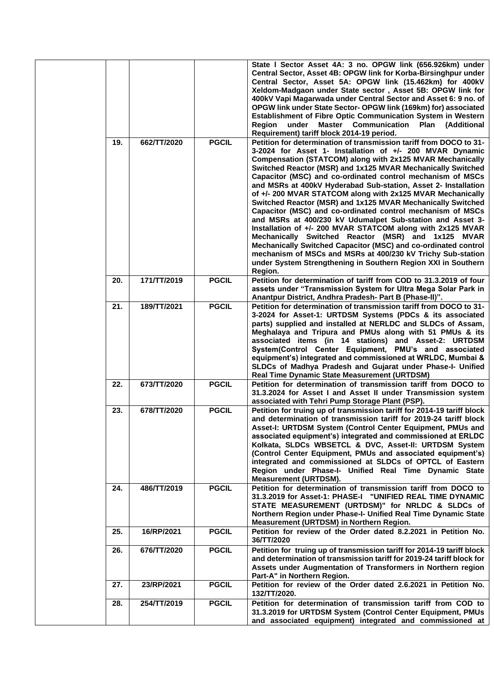|     |             |              | State I Sector Asset 4A: 3 no. OPGW link (656.926km) under<br>Central Sector, Asset 4B: OPGW link for Korba-Birsinghpur under<br>Central Sector, Asset 5A: OPGW link (15.462km) for 400kV<br>Xeldom-Madgaon under State sector, Asset 5B: OPGW link for<br>400kV Vapi Magarwada under Central Sector and Asset 6: 9 no. of<br>OPGW link under State Sector-OPGW link (169km) for) associated<br>Establishment of Fibre Optic Communication System in Western<br>Master Communication Plan (Additional<br>Region<br>under<br>Requirement) tariff block 2014-19 period.                                                                                                                                                                                                                                                                                                                                                                                                               |
|-----|-------------|--------------|-------------------------------------------------------------------------------------------------------------------------------------------------------------------------------------------------------------------------------------------------------------------------------------------------------------------------------------------------------------------------------------------------------------------------------------------------------------------------------------------------------------------------------------------------------------------------------------------------------------------------------------------------------------------------------------------------------------------------------------------------------------------------------------------------------------------------------------------------------------------------------------------------------------------------------------------------------------------------------------|
| 19. | 662/TT/2020 | <b>PGCIL</b> | Petition for determination of transmission tariff from DOCO to 31-<br>3-2024 for Asset 1- Installation of +/- 200 MVAR Dynamic<br>Compensation (STATCOM) along with 2x125 MVAR Mechanically<br>Switched Reactor (MSR) and 1x125 MVAR Mechanically Switched<br>Capacitor (MSC) and co-ordinated control mechanism of MSCs<br>and MSRs at 400kV Hyderabad Sub-station, Asset 2- Installation<br>of +/- 200 MVAR STATCOM along with 2x125 MVAR Mechanically<br>Switched Reactor (MSR) and 1x125 MVAR Mechanically Switched<br>Capacitor (MSC) and co-ordinated control mechanism of MSCs<br>and MSRs at 400/230 kV Udumalpet Sub-station and Asset 3-<br>Installation of +/- 200 MVAR STATCOM along with 2x125 MVAR<br>Mechanically Switched Reactor (MSR) and 1x125 MVAR<br>Mechanically Switched Capacitor (MSC) and co-ordinated control<br>mechanism of MSCs and MSRs at 400/230 kV Trichy Sub-station<br>under System Strengthening in Southern Region XXI in Southern<br>Region. |
| 20. | 171/TT/2019 | <b>PGCIL</b> | Petition for determination of tariff from COD to 31.3.2019 of four<br>assets under "Transmission System for Ultra Mega Solar Park in<br>Anantpur District, Andhra Pradesh- Part B (Phase-II)".                                                                                                                                                                                                                                                                                                                                                                                                                                                                                                                                                                                                                                                                                                                                                                                      |
| 21. | 189/TT/2021 | <b>PGCIL</b> | Petition for determination of transmission tariff from DOCO to 31-<br>3-2024 for Asset-1: URTDSM Systems (PDCs & its associated<br>parts) supplied and installed at NERLDC and SLDCs of Assam,<br>Meghalaya and Tripura and PMUs along with 51 PMUs & its<br>associated items (in 14 stations) and Asset-2: URTDSM<br>System(Control Center Equipment, PMU's and associated<br>equipment's) integrated and commissioned at WRLDC, Mumbai &<br>SLDCs of Madhya Pradesh and Gujarat under Phase-I- Unified<br><b>Real Time Dynamic State Measurement (URTDSM)</b>                                                                                                                                                                                                                                                                                                                                                                                                                     |
| 22. | 673/TT/2020 | <b>PGCIL</b> | Petition for determination of transmission tariff from DOCO to<br>31.3.2024 for Asset I and Asset II under Transmission system<br>associated with Tehri Pump Storage Plant (PSP).                                                                                                                                                                                                                                                                                                                                                                                                                                                                                                                                                                                                                                                                                                                                                                                                   |
| 23. | 678/TT/2020 | <b>PGCIL</b> | Petition for truing up of transmission tariff for 2014-19 tariff block<br>and determination of transmission tariff for 2019-24 tariff block<br>Asset-I: URTDSM System (Control Center Equipment, PMUs and<br>associated equipment's) integrated and commissioned at ERLDC<br>Kolkata, SLDCs WBSETCL & DVC, Asset-II: URTDSM System<br>(Control Center Equipment, PMUs and associated equipment's)<br>integrated and commissioned at SLDCs of OPTCL of Eastern<br>Region under Phase-I- Unified Real Time Dynamic State<br><b>Measurement (URTDSM).</b>                                                                                                                                                                                                                                                                                                                                                                                                                              |
| 24. | 486/TT/2019 | <b>PGCIL</b> | Petition for determination of transmission tariff from DOCO to<br>31.3.2019 for Asset-1: PHASE-I "UNIFIED REAL TIME DYNAMIC<br>STATE MEASUREMENT (URTDSM)" for NRLDC & SLDCs of<br>Northern Region under Phase-I- Unified Real Time Dynamic State<br>Measurement (URTDSM) in Northern Region.                                                                                                                                                                                                                                                                                                                                                                                                                                                                                                                                                                                                                                                                                       |
| 25. | 16/RP/2021  | <b>PGCIL</b> | Petition for review of the Order dated 8.2.2021 in Petition No.<br>36/TT/2020                                                                                                                                                                                                                                                                                                                                                                                                                                                                                                                                                                                                                                                                                                                                                                                                                                                                                                       |
| 26. | 676/TT/2020 | <b>PGCIL</b> | Petition for truing up of transmission tariff for 2014-19 tariff block<br>and determination of transmission tariff for 2019-24 tariff block for<br>Assets under Augmentation of Transformers in Northern region<br>Part-A" in Northern Region.                                                                                                                                                                                                                                                                                                                                                                                                                                                                                                                                                                                                                                                                                                                                      |
| 27. | 23/RP/2021  | <b>PGCIL</b> | Petition for review of the Order dated 2.6.2021 in Petition No.<br>132/TT/2020.                                                                                                                                                                                                                                                                                                                                                                                                                                                                                                                                                                                                                                                                                                                                                                                                                                                                                                     |
| 28. | 254/TT/2019 | <b>PGCIL</b> | Petition for determination of transmission tariff from COD to<br>31.3.2019 for URTDSM System (Control Center Equipment, PMUs<br>and associated equipment) integrated and commissioned at                                                                                                                                                                                                                                                                                                                                                                                                                                                                                                                                                                                                                                                                                                                                                                                            |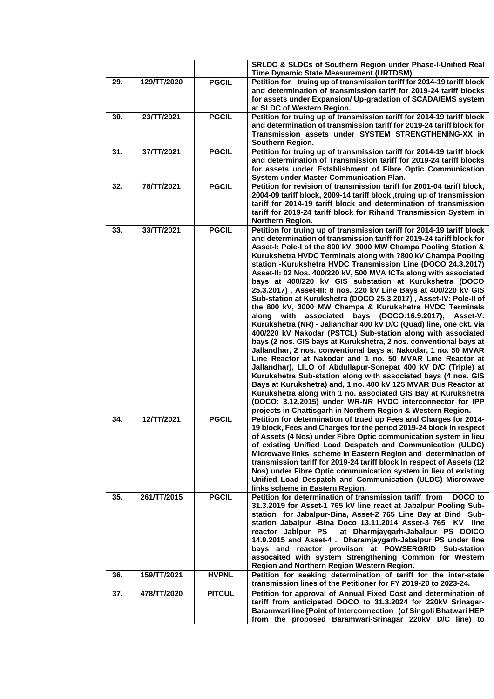|     |             |               | SRLDC & SLDCs of Southern Region under Phase-I-Unified Real<br>Time Dynamic State Measurement (URTDSM)                                                                                                                                                                                                                                                                                                                                                                                                                                                                                                                                                                                                                                                                                                                                                                                                                                                                                                                                                                                                                                                                                                                                                                                                                                                                                                                                                                                       |
|-----|-------------|---------------|----------------------------------------------------------------------------------------------------------------------------------------------------------------------------------------------------------------------------------------------------------------------------------------------------------------------------------------------------------------------------------------------------------------------------------------------------------------------------------------------------------------------------------------------------------------------------------------------------------------------------------------------------------------------------------------------------------------------------------------------------------------------------------------------------------------------------------------------------------------------------------------------------------------------------------------------------------------------------------------------------------------------------------------------------------------------------------------------------------------------------------------------------------------------------------------------------------------------------------------------------------------------------------------------------------------------------------------------------------------------------------------------------------------------------------------------------------------------------------------------|
| 29. | 129/TT/2020 | <b>PGCIL</b>  | Petition for truing up of transmission tariff for 2014-19 tariff block<br>and determination of transmission tariff for 2019-24 tariff blocks<br>for assets under Expansion/ Up-gradation of SCADA/EMS system<br>at SLDC of Western Region.                                                                                                                                                                                                                                                                                                                                                                                                                                                                                                                                                                                                                                                                                                                                                                                                                                                                                                                                                                                                                                                                                                                                                                                                                                                   |
| 30. | 23/TT/2021  | <b>PGCIL</b>  | Petition for truing up of transmission tariff for 2014-19 tariff block<br>and determination of transmission tariff for 2019-24 tariff block for<br>Transmission assets under SYSTEM STRENGTHENING-XX in<br>Southern Region.                                                                                                                                                                                                                                                                                                                                                                                                                                                                                                                                                                                                                                                                                                                                                                                                                                                                                                                                                                                                                                                                                                                                                                                                                                                                  |
| 31. | 37/TT/2021  | <b>PGCIL</b>  | Petition for truing up of transmission tariff for 2014-19 tariff block<br>and determination of Transmission tariff for 2019-24 tariff blocks<br>for assets under Establishment of Fibre Optic Communication<br><b>System under Master Communication Plan.</b>                                                                                                                                                                                                                                                                                                                                                                                                                                                                                                                                                                                                                                                                                                                                                                                                                                                                                                                                                                                                                                                                                                                                                                                                                                |
| 32. | 78/TT/2021  | <b>PGCIL</b>  | Petition for revision of transmission tariff for 2001-04 tariff block,<br>2004-09 tariff block, 2009-14 tariff block, truing up of transmission<br>tariff for 2014-19 tariff block and determination of transmission<br>tariff for 2019-24 tariff block for Rihand Transmission System in<br>Northern Region.                                                                                                                                                                                                                                                                                                                                                                                                                                                                                                                                                                                                                                                                                                                                                                                                                                                                                                                                                                                                                                                                                                                                                                                |
| 33. | 33/TT/2021  | <b>PGCIL</b>  | Petition for truing up of transmission tariff for 2014-19 tariff block<br>and determination of transmission tariff for 2019-24 tariff block for<br>Asset-I: Pole-I of the 800 kV, 3000 MW Champa Pooling Station &<br>Kurukshetra HVDC Terminals along with ?800 kV Champa Pooling<br>station -Kurukshetra HVDC Transmission Line (DOCO 24.3.2017)<br>Asset-II: 02 Nos. 400/220 kV, 500 MVA ICTs along with associated<br>bays at 400/220 kV GIS substation at Kurukshetra (DOCO<br>25.3.2017), Asset-III: 8 nos. 220 kV Line Bays at 400/220 kV GIS<br>Sub-station at Kurukshetra (DOCO 25.3.2017), Asset-IV: Pole-II of<br>the 800 kV, 3000 MW Champa & Kurukshetra HVDC Terminals<br>along with associated bays (DOCO:16.9.2017); Asset-V:<br>Kurukshetra (NR) - Jallandhar 400 kV D/C (Quad) line, one ckt. via<br>400/220 kV Nakodar (PSTCL) Sub-station along with associated<br>bays (2 nos. GIS bays at Kurukshetra, 2 nos. conventional bays at<br>Jallandhar, 2 nos. conventional bays at Nakodar, 1 no. 50 MVAR<br>Line Reactor at Nakodar and 1 no. 50 MVAR Line Reactor at<br>Jallandhar), LILO of Abdullapur-Sonepat 400 kV D/C (Triple) at<br>Kurukshetra Sub-station along with associated bays (4 nos. GIS<br>Bays at Kurukshetra) and, 1 no. 400 kV 125 MVAR Bus Reactor at<br>Kurukshetra along with 1 no. associated GIS Bay at Kurukshetra<br>(DOCO: 3.12.2015) under WR-NR HVDC interconnector for IPP<br>projects in Chattisgarh in Northern Region & Western Region. |
| 34. | 12/TT/2021  | <b>PGCIL</b>  | Petition for determination of trued up Fees and Charges for 2014-<br>19 block, Fees and Charges for the period 2019-24 block In respect<br>of Assets (4 Nos) under Fibre Optic communication system in lieu<br>of existing Unified Load Despatch and Communication (ULDC)<br>Microwave links scheme in Eastern Region and determination of<br>transmission tariff for 2019-24 tariff block In respect of Assets (12<br>Nos) under Fibre Optic communication system in lieu of existing<br>Unified Load Despatch and Communication (ULDC) Microwave<br>links scheme in Eastern Region.                                                                                                                                                                                                                                                                                                                                                                                                                                                                                                                                                                                                                                                                                                                                                                                                                                                                                                        |
| 35. | 261/TT/2015 | <b>PGCIL</b>  | Petition for determination of transmission tariff from<br>DOCO to<br>31.3.2019 for Asset-1 765 kV line react at Jabalpur Pooling Sub-<br>station for Jabalpur-Bina, Asset-2 765 Line Bay at Bind Sub-<br>station Jabalpur - Bina Doco 13.11.2014 Asset-3 765 KV line<br>at Dharmjaygarh-Jabalpur PS DOICO<br>reactor Jablpur PS<br>14.9.2015 and Asset-4. Dharamjaygarh-Jabalpur PS under line<br>bays and reactor proviison at POWSERGRID Sub-station<br>assocaited with system Strengthening Common for Western<br>Region and Northern Region Western Region.                                                                                                                                                                                                                                                                                                                                                                                                                                                                                                                                                                                                                                                                                                                                                                                                                                                                                                                              |
| 36. | 159/TT/2021 | <b>HVPNL</b>  | Petition for seeking determination of tariff for the inter-state<br>transmission lines of the Petitioner for FY 2019-20 to 2023-24.                                                                                                                                                                                                                                                                                                                                                                                                                                                                                                                                                                                                                                                                                                                                                                                                                                                                                                                                                                                                                                                                                                                                                                                                                                                                                                                                                          |
| 37. | 478/TT/2020 | <b>PITCUL</b> | Petition for approval of Annual Fixed Cost and determination of<br>tariff from anticipated DOCO to 31.3.2024 for 220kV Srinagar-<br>Baramwari line [Point of Interconnection (of Singoli Bhatwari HEP<br>from the proposed Baramwari-Srinagar 220kV D/C line) to                                                                                                                                                                                                                                                                                                                                                                                                                                                                                                                                                                                                                                                                                                                                                                                                                                                                                                                                                                                                                                                                                                                                                                                                                             |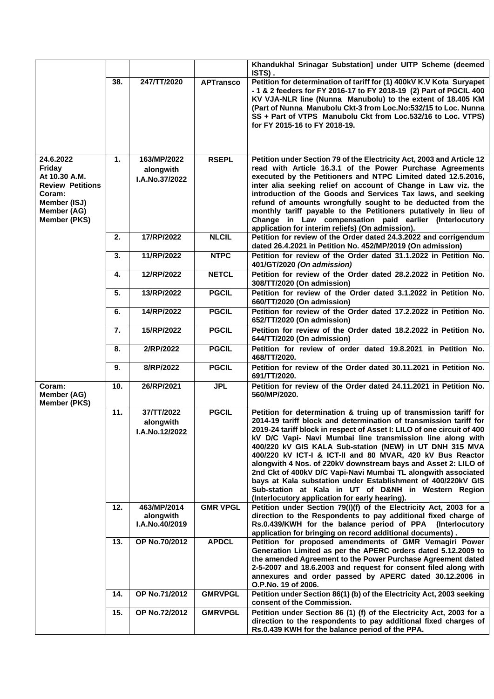|                                                                                                                                        |               |                                            |                  | Khandukhal Srinagar Substation] under UITP Scheme (deemed<br>ISTS).                                                                                                                                                                                                                                                                                                                                                                                                                                                                                                                                                                                                                                                |
|----------------------------------------------------------------------------------------------------------------------------------------|---------------|--------------------------------------------|------------------|--------------------------------------------------------------------------------------------------------------------------------------------------------------------------------------------------------------------------------------------------------------------------------------------------------------------------------------------------------------------------------------------------------------------------------------------------------------------------------------------------------------------------------------------------------------------------------------------------------------------------------------------------------------------------------------------------------------------|
|                                                                                                                                        | 38.           | 247/TT/2020                                | <b>APTransco</b> | Petition for determination of tariff for (1) 400kV K.V Kota Suryapet<br>- 1 & 2 feeders for FY 2016-17 to FY 2018-19 (2) Part of PGCIL 400<br>KV VJA-NLR line (Nunna Manubolu) to the extent of 18.405 KM<br>(Part of Nunna Manubolu Ckt-3 from Loc.No:532/15 to Loc. Nunna<br>SS + Part of VTPS Manubolu Ckt from Loc.532/16 to Loc. VTPS)<br>for FY 2015-16 to FY 2018-19.                                                                                                                                                                                                                                                                                                                                       |
| 24.6.2022<br><b>Friday</b><br>At 10.30 A.M.<br><b>Review Petitions</b><br>Coram:<br>Member (ISJ)<br>Member (AG)<br><b>Member (PKS)</b> | $\mathbf 1$ . | 163/MP/2022<br>alongwith<br>I.A.No.37/2022 | <b>RSEPL</b>     | Petition under Section 79 of the Electricity Act, 2003 and Article 12<br>read with Article 16.3.1 of the Power Purchase Agreements<br>executed by the Petitioners and NTPC Limited dated 12.5.2016,<br>inter alia seeking relief on account of Change in Law viz. the<br>introduction of the Goods and Services Tax laws, and seeking<br>refund of amounts wrongfully sought to be deducted from the<br>monthly tariff payable to the Petitioners putatively in lieu of<br>Change in Law compensation paid earlier (Interlocutory<br>application for interim reliefs) (On admission).                                                                                                                              |
|                                                                                                                                        | 2.            | 17/RP/2022                                 | <b>NLCIL</b>     | Petition for review of the Order dated 24.3.2022 and corrigendum<br>dated 26.4.2021 in Petition No. 452/MP/2019 (On admission)                                                                                                                                                                                                                                                                                                                                                                                                                                                                                                                                                                                     |
|                                                                                                                                        | 3.            | 11/RP/2022                                 | <b>NTPC</b>      | Petition for review of the Order dated 31.1.2022 in Petition No.<br>401/GT/2020 (On admission)                                                                                                                                                                                                                                                                                                                                                                                                                                                                                                                                                                                                                     |
|                                                                                                                                        | 4.            | 12/RP/2022                                 | <b>NETCL</b>     | Petition for review of the Order dated 28.2.2022 in Petition No.<br>308/TT/2020 (On admission)                                                                                                                                                                                                                                                                                                                                                                                                                                                                                                                                                                                                                     |
|                                                                                                                                        | 5.            | 13/RP/2022                                 | <b>PGCIL</b>     | Petition for review of the Order dated 3.1.2022 in Petition No.<br>660/TT/2020 (On admission)                                                                                                                                                                                                                                                                                                                                                                                                                                                                                                                                                                                                                      |
|                                                                                                                                        | 6.            | 14/RP/2022                                 | <b>PGCIL</b>     | Petition for review of the Order dated 17.2.2022 in Petition No.<br>652/TT/2020 (On admission)                                                                                                                                                                                                                                                                                                                                                                                                                                                                                                                                                                                                                     |
|                                                                                                                                        | 7.            | 15/RP/2022                                 | <b>PGCIL</b>     | Petition for review of the Order dated 18.2.2022 in Petition No.<br>644/TT/2020 (On admission)                                                                                                                                                                                                                                                                                                                                                                                                                                                                                                                                                                                                                     |
|                                                                                                                                        | 8.            | 2/RP/2022                                  | <b>PGCIL</b>     | Petition for review of order dated 19.8.2021 in Petition No.<br>468/TT/2020.                                                                                                                                                                                                                                                                                                                                                                                                                                                                                                                                                                                                                                       |
|                                                                                                                                        | 9.            | 8/RP/2022                                  | <b>PGCIL</b>     | Petition for review of the Order dated 30.11.2021 in Petition No.<br>691/TT/2020.                                                                                                                                                                                                                                                                                                                                                                                                                                                                                                                                                                                                                                  |
| Coram:<br>Member (AG)<br>Member (PKS)                                                                                                  | 10.           | 26/RP/2021                                 | <b>JPL</b>       | Petition for review of the Order dated 24.11.2021 in Petition No.<br>560/MP/2020.                                                                                                                                                                                                                                                                                                                                                                                                                                                                                                                                                                                                                                  |
|                                                                                                                                        | 11.           | 37/TT/2022<br>alongwith<br>I.A.No.12/2022  | <b>PGCIL</b>     | Petition for determination & truing up of transmission tariff for<br>2014-19 tariff block and determination of transmission tariff for<br>2019-24 tariff block in respect of Asset I: LILO of one circuit of 400<br>kV D/C Vapi- Navi Mumbai line transmission line along with<br>400/220 kV GIS KALA Sub-station (NEW) in UT DNH 315 MVA<br>400/220 kV ICT-I & ICT-II and 80 MVAR, 420 kV Bus Reactor<br>alongwith 4 Nos. of 220kV downstream bays and Asset 2: LILO of<br>2nd Ckt of 400kV D/C Vapi-Navi Mumbai TL alongwith associated<br>bays at Kala substation under Establishment of 400/220kV GIS<br>Sub-station at Kala in UT of D&NH in Western Region<br>(Interlocutory application for early hearing). |
|                                                                                                                                        | 12.           | 463/MP/2014<br>alongwith<br>I.A.No.40/2019 | <b>GMR VPGL</b>  | Petition under Section 79(I)(f) of the Electricity Act, 2003 for a<br>direction to the Respondents to pay additional fixed charge of<br>Rs.0.439/KWH for the balance period of PPA (Interlocutory<br>application for bringing on record additional documents).                                                                                                                                                                                                                                                                                                                                                                                                                                                     |
|                                                                                                                                        | 13.           | OP No.70/2012                              | <b>APDCL</b>     | Petition for proposed amendments of GMR Vemagiri Power<br>Generation Limited as per the APERC orders dated 5.12.2009 to<br>the amended Agreement to the Power Purchase Agreement dated<br>2-5-2007 and 18.6.2003 and request for consent filed along with<br>annexures and order passed by APERC dated 30.12.2006 in<br>O.P.No. 19 of 2006.                                                                                                                                                                                                                                                                                                                                                                        |
|                                                                                                                                        | 14.           | OP No.71/2012                              | <b>GMRVPGL</b>   | Petition under Section 86(1) (b) of the Electricity Act, 2003 seeking<br>consent of the Commission.                                                                                                                                                                                                                                                                                                                                                                                                                                                                                                                                                                                                                |
|                                                                                                                                        | 15.           | OP No.72/2012                              | <b>GMRVPGL</b>   | Petition under Section 86 (1) (f) of the Electricity Act, 2003 for a<br>direction to the respondents to pay additional fixed charges of<br>Rs.0.439 KWH for the balance period of the PPA.                                                                                                                                                                                                                                                                                                                                                                                                                                                                                                                         |